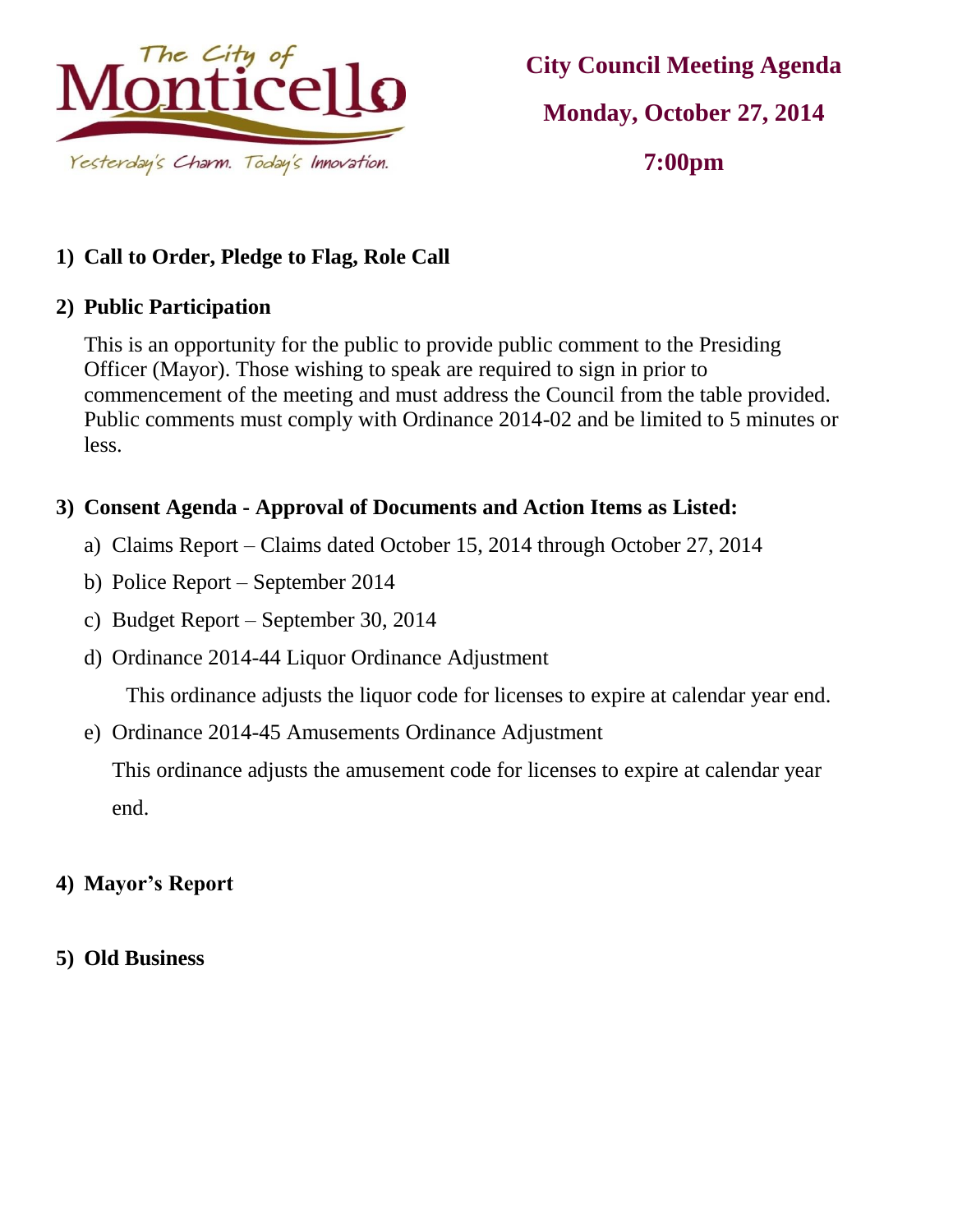

# **City Council Meeting Agenda Monday, October 27, 2014 7:00pm**

# **1) Call to Order, Pledge to Flag, Role Call**

#### **2) Public Participation**

This is an opportunity for the public to provide public comment to the Presiding Officer (Mayor). Those wishing to speak are required to sign in prior to commencement of the meeting and must address the Council from the table provided. Public comments must comply with Ordinance 2014-02 and be limited to 5 minutes or less.

## **3) Consent Agenda - Approval of Documents and Action Items as Listed:**

- a) Claims Report Claims dated October 15, 2014 through October 27, 2014
- b) Police Report September 2014
- c) Budget Report September 30, 2014
- d) Ordinance 2014-44 Liquor Ordinance Adjustment

This ordinance adjusts the liquor code for licenses to expire at calendar year end.

e) Ordinance 2014-45 Amusements Ordinance Adjustment

This ordinance adjusts the amusement code for licenses to expire at calendar year end.

#### **4) Mayor's Report**

**5) Old Business**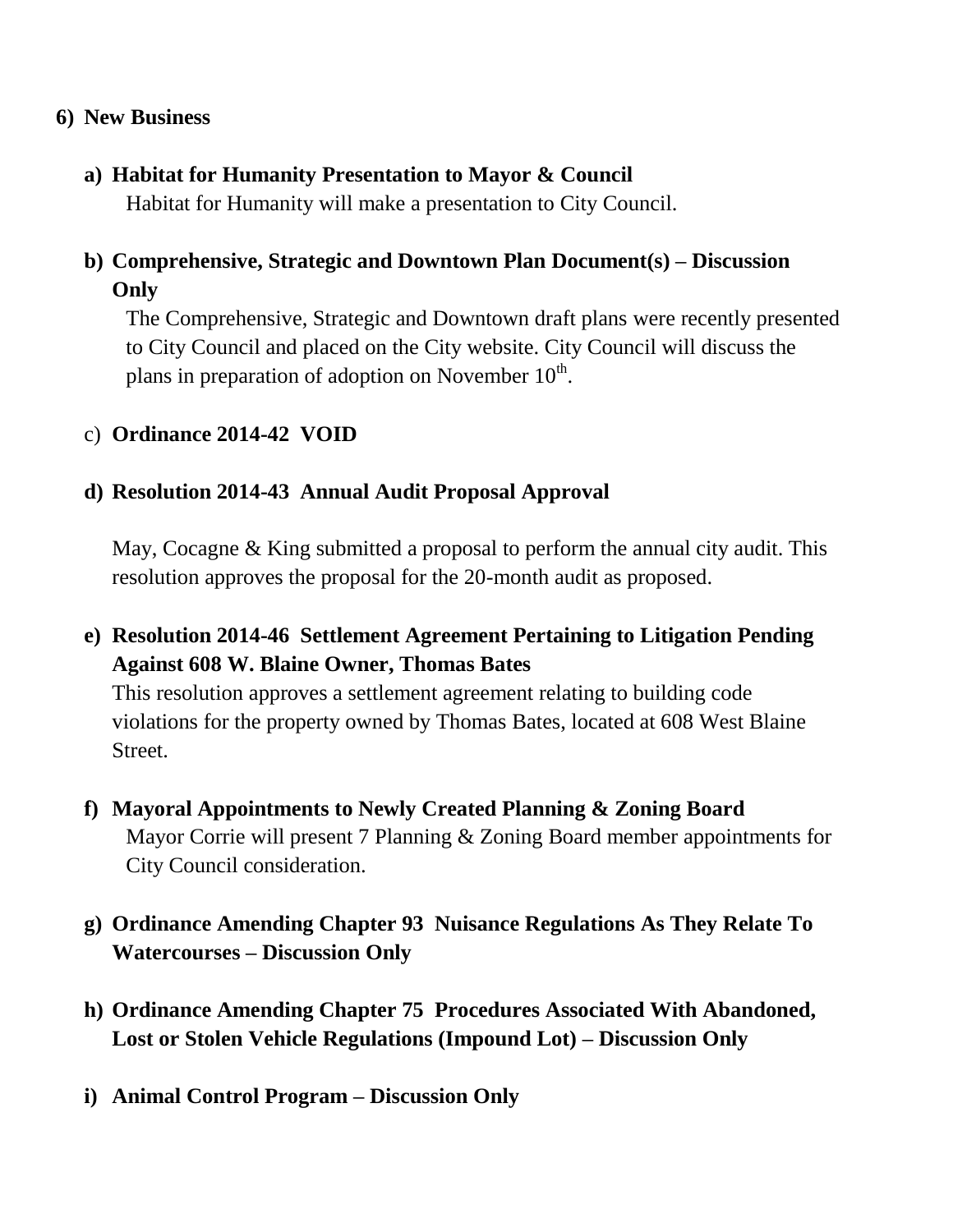#### **6) New Business**

**a) Habitat for Humanity Presentation to Mayor & Council** 

Habitat for Humanity will make a presentation to City Council.

# **b) Comprehensive, Strategic and Downtown Plan Document(s) – Discussion Only**

The Comprehensive, Strategic and Downtown draft plans were recently presented to City Council and placed on the City website. City Council will discuss the plans in preparation of adoption on November  $10^{\text{th}}$ .

## c) **Ordinance 2014-42 VOID**

#### **d) Resolution 2014-43 Annual Audit Proposal Approval**

May, Cocagne & King submitted a proposal to perform the annual city audit. This resolution approves the proposal for the 20-month audit as proposed.

**e) Resolution 2014-46 Settlement Agreement Pertaining to Litigation Pending Against 608 W. Blaine Owner, Thomas Bates**

This resolution approves a settlement agreement relating to building code violations for the property owned by Thomas Bates, located at 608 West Blaine Street.

- **f) Mayoral Appointments to Newly Created Planning & Zoning Board** Mayor Corrie will present 7 Planning & Zoning Board member appointments for City Council consideration.
- **g) Ordinance Amending Chapter 93 Nuisance Regulations As They Relate To Watercourses – Discussion Only**
- **h) Ordinance Amending Chapter 75 Procedures Associated With Abandoned, Lost or Stolen Vehicle Regulations (Impound Lot) – Discussion Only**
- **i) Animal Control Program – Discussion Only**